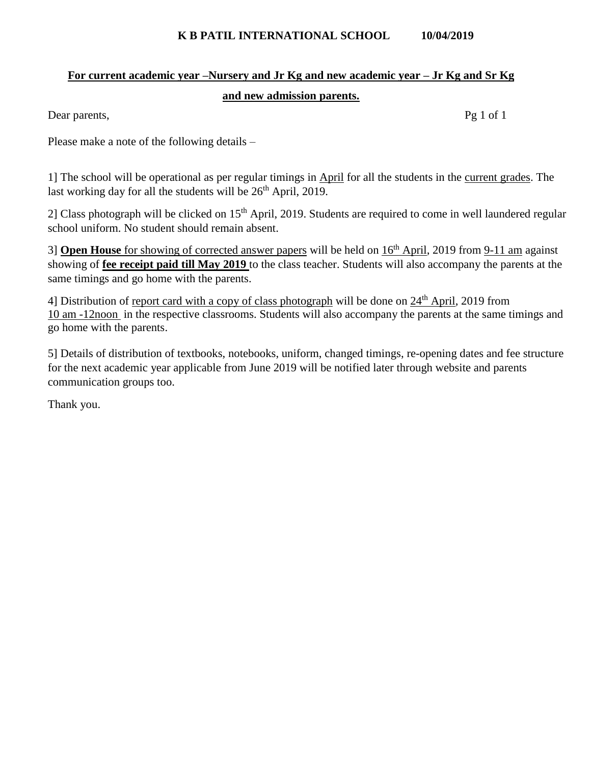#### **K B PATIL INTERNATIONAL SCHOOL 10/04/2019**

# **For current academic year –Nursery and Jr Kg and new academic year – Jr Kg and Sr Kg and new admission parents.**

Dear parents, Pg 1 of 1

Please make a note of the following details –

1] The school will be operational as per regular timings in April for all the students in the current grades. The last working day for all the students will be  $26<sup>th</sup>$  April, 2019.

2] Class photograph will be clicked on 15<sup>th</sup> April, 2019. Students are required to come in well laundered regular school uniform. No student should remain absent.

3] **Open House** for showing of corrected answer papers will be held on 16th April, 2019 from 9-11 am against showing of **fee receipt paid till May 2019** to the class teacher. Students will also accompany the parents at the same timings and go home with the parents.

4] Distribution of report card with a copy of class photograph will be done on 24<sup>th</sup> April, 2019 from 10 am -12noon in the respective classrooms. Students will also accompany the parents at the same timings and go home with the parents.

5] Details of distribution of textbooks, notebooks, uniform, changed timings, re-opening dates and fee structure for the next academic year applicable from June 2019 will be notified later through website and parents communication groups too.

Thank you.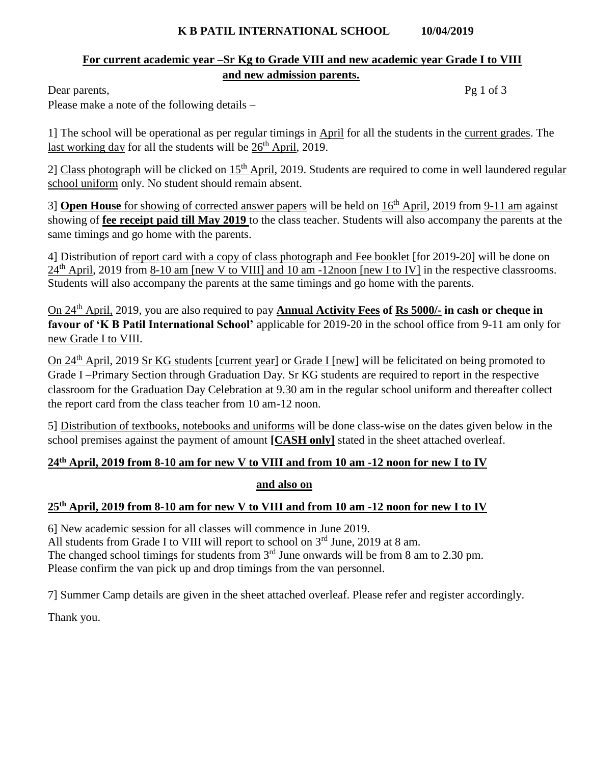#### **K B PATIL INTERNATIONAL SCHOOL 10/04/2019**

### **For current academic year –Sr Kg to Grade VIII and new academic year Grade I to VIII and new admission parents.**

Dear parents, Pg 1 of 3

Please make a note of the following details –

1] The school will be operational as per regular timings in April for all the students in the current grades. The last working day for all the students will be  $26<sup>th</sup>$  April, 2019.

2] Class photograph will be clicked on 15<sup>th</sup> April, 2019. Students are required to come in well laundered regular school uniform only. No student should remain absent.

3] **Open House** for showing of corrected answer papers will be held on  $16<sup>th</sup>$  April, 2019 from 9-11 am against showing of **fee receipt paid till May 2019** to the class teacher. Students will also accompany the parents at the same timings and go home with the parents.

4] Distribution of report card with a copy of class photograph and Fee booklet [for 2019-20] will be done on 24<sup>th</sup> April, 2019 from 8-10 am [new V to VIII] and 10 am -12noon [new I to IV] in the respective classrooms. Students will also accompany the parents at the same timings and go home with the parents.

On 24th April, 2019, you are also required to pay **Annual Activity Fees of Rs 5000/- in cash or cheque in favour of 'K B Patil International School'** applicable for 2019-20 in the school office from 9-11 am only for new Grade I to VIII.

On 24<sup>th</sup> April, 2019 Sr KG students [current year] or Grade I [new] will be felicitated on being promoted to Grade I –Primary Section through Graduation Day. Sr KG students are required to report in the respective classroom for the Graduation Day Celebration at 9.30 am in the regular school uniform and thereafter collect the report card from the class teacher from 10 am-12 noon.

5] Distribution of textbooks, notebooks and uniforms will be done class-wise on the dates given below in the school premises against the payment of amount **[CASH only]** stated in the sheet attached overleaf.

## **24th April, 2019 from 8-10 am for new V to VIII and from 10 am -12 noon for new I to IV**

### **and also on**

## **25th April, 2019 from 8-10 am for new V to VIII and from 10 am -12 noon for new I to IV**

6] New academic session for all classes will commence in June 2019. All students from Grade I to VIII will report to school on  $3<sup>rd</sup>$  June, 2019 at 8 am. The changed school timings for students from  $3<sup>rd</sup>$  June onwards will be from 8 am to 2.30 pm. Please confirm the van pick up and drop timings from the van personnel.

7] Summer Camp details are given in the sheet attached overleaf. Please refer and register accordingly.

Thank you.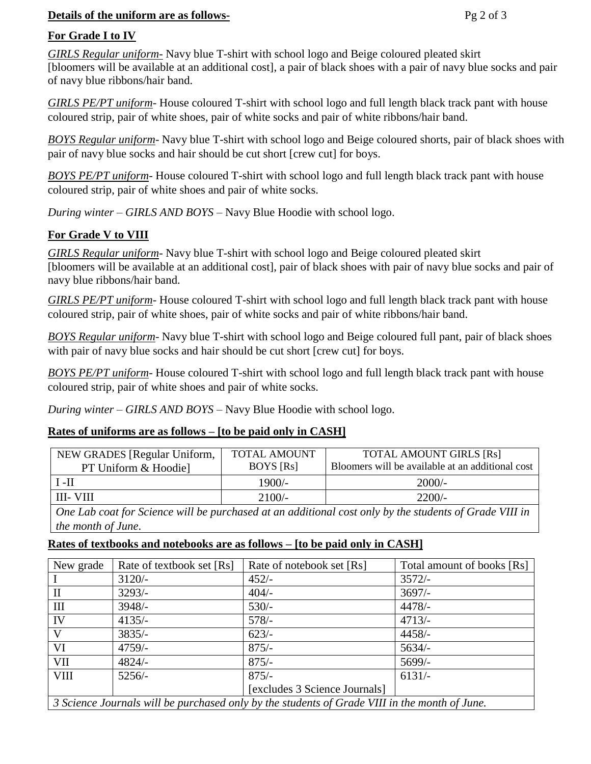#### **Details of the uniform are as follows-** Pg 2 of 3

#### **For Grade I to IV**

*GIRLS Regular uniform*- Navy blue T-shirt with school logo and Beige coloured pleated skirt [bloomers will be available at an additional cost], a pair of black shoes with a pair of navy blue socks and pair of navy blue ribbons/hair band.

*GIRLS PE/PT uniform-* House coloured T-shirt with school logo and full length black track pant with house coloured strip, pair of white shoes, pair of white socks and pair of white ribbons/hair band.

*BOYS Regular uniform*- Navy blue T-shirt with school logo and Beige coloured shorts, pair of black shoes with pair of navy blue socks and hair should be cut short [crew cut] for boys.

*BOYS PE/PT uniform-* House coloured T-shirt with school logo and full length black track pant with house coloured strip, pair of white shoes and pair of white socks.

*During winter – GIRLS AND BOYS* – Navy Blue Hoodie with school logo.

### **For Grade V to VIII**

*GIRLS Regular uniform*- Navy blue T-shirt with school logo and Beige coloured pleated skirt [bloomers will be available at an additional cost], pair of black shoes with pair of navy blue socks and pair of navy blue ribbons/hair band.

*GIRLS PE/PT uniform-* House coloured T-shirt with school logo and full length black track pant with house coloured strip, pair of white shoes, pair of white socks and pair of white ribbons/hair band.

*BOYS Regular uniform*- Navy blue T-shirt with school logo and Beige coloured full pant, pair of black shoes with pair of navy blue socks and hair should be cut short [crew cut] for boys.

*BOYS PE/PT uniform-* House coloured T-shirt with school logo and full length black track pant with house coloured strip, pair of white shoes and pair of white socks.

*During winter – GIRLS AND BOYS* – Navy Blue Hoodie with school logo.

### **Rates of uniforms are as follows – [to be paid only in CASH]**

| NEW GRADES [Regular Uniform,<br>PT Uniform & Hoodie | TOTAL AMOUNT<br><b>BOYS</b> [Rs] | <b>TOTAL AMOUNT GIRLS [Rs]</b><br>Bloomers will be available at an additional cost |
|-----------------------------------------------------|----------------------------------|------------------------------------------------------------------------------------|
| II- 1                                               | $1900/-$                         | $2000/-$                                                                           |
| III- VIII                                           | $2100/-$                         | $2200/-$                                                                           |

*One Lab coat for Science will be purchased at an additional cost only by the students of Grade VIII in the month of June*.

### **Rates of textbooks and notebooks are as follows – [to be paid only in CASH]**

| New grade                                                                                     | Rate of textbook set [Rs] | Rate of notebook set [Rs]     | Total amount of books [Rs] |
|-----------------------------------------------------------------------------------------------|---------------------------|-------------------------------|----------------------------|
|                                                                                               | $3120/-$                  | $452/-$                       | $3572/-$                   |
| $\mathbf{I}$                                                                                  | $3293/-$                  | $404/-$                       | $3697/-$                   |
| III                                                                                           | $3948/-$                  | $530/-$                       | $4478/-$                   |
| IV                                                                                            | $4135/-$                  | $578/-$                       | $4713/-$                   |
| V                                                                                             | $3835/-$                  | $623/-$                       | $4458/-$                   |
| VI                                                                                            | $4759/-$                  | $875/-$                       | $5634/-$                   |
| VII                                                                                           | $4824/-$                  | $875/-$                       | $5699/-$                   |
| <b>VIII</b>                                                                                   | $5256/-$                  | $875/-$                       | $6131/-$                   |
|                                                                                               |                           | [excludes 3 Science Journals] |                            |
| 3 Science Journals will be purchased only by the students of Grade VIII in the month of June. |                           |                               |                            |

*3 Science Journals will be purchased only by the students of Grade VIII in the month of June.*